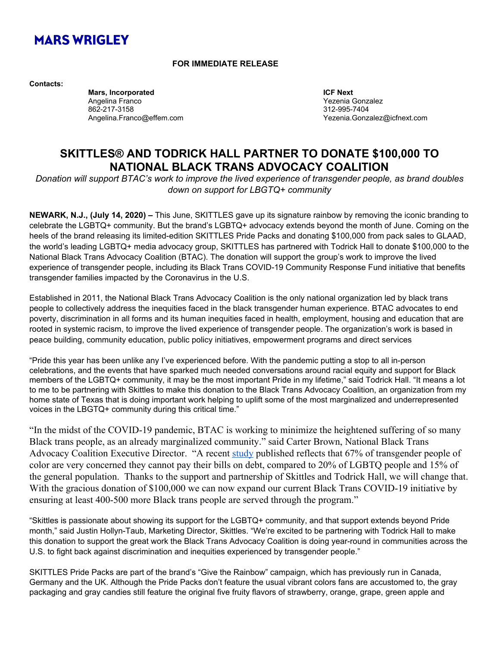# **MARS WRIGLEY**

#### **FOR IMMEDIATE RELEASE**

**Contacts:**

**Mars, Incorporated ICF Next** Angelina Franco **Xerenia Gonzalez** (Angelina Gonzalez Conzulation Angelina Gonzalez Vezenia Gonzalez 862-217-3158 312-995-7404

Yezenia.Gonzalez@icfnext.com

## **SKITTLES® AND TODRICK HALL PARTNER TO DONATE \$100,000 TO NATIONAL BLACK TRANS ADVOCACY COALITION**

*Donation will support BTAC's work to improve the lived experience of transgender people, as brand doubles down on support for LBGTQ+ community*

**NEWARK, N.J., (July 14, 2020) –** This June, SKITTLES gave up its signature rainbow by removing the iconic branding to celebrate the LGBTQ+ community. But the brand's LGBTQ+ advocacy extends beyond the month of June. Coming on the heels of the brand releasing its limited-edition SKITTLES Pride Packs and donating \$100,000 from pack sales to GLAAD, the world's leading LGBTQ+ media advocacy group, SKITTLES has partnered with Todrick Hall to donate \$100,000 to the National Black Trans Advocacy Coalition (BTAC). The donation will support the group's work to improve the lived experience of transgender people, including its Black Trans COVID-19 Community Response Fund initiative that benefits transgender families impacted by the Coronavirus in the U.S.

Established in 2011, the National Black Trans Advocacy Coalition is the only national organization led by black trans people to collectively address the inequities faced in the black transgender human experience. BTAC advocates to end poverty, discrimination in all forms and its human inequities faced in health, employment, housing and education that are rooted in systemic racism, to improve the lived experience of transgender people. The organization's work is based in peace building, community education, public policy initiatives, empowerment programs and direct services

"Pride this year has been unlike any I've experienced before. With the pandemic putting a stop to all in-person celebrations, and the events that have sparked much needed conversations around racial equity and support for Black members of the LGBTQ+ community, it may be the most important Pride in my lifetime," said Todrick Hall. "It means a lot to me to be partnering with Skittles to make this donation to the Black Trans Advocacy Coalition, an organization from my home state of Texas that is doing important work helping to uplift some of the most marginalized and underrepresented voices in the LBGTQ+ community during this critical time."

"In the midst of the COVID-19 pandemic, BTAC is working to minimize the heightened suffering of so many Black trans people, as an already marginalized community." said Carter Brown, National Black Trans Advocacy Coalition Executive Director. "A recent [study](https://www.hrc.org/blog/hrc-psb-research-release-data-on-disproportionate-economic-impact-of-covid) published reflects that 67% of transgender people of color are very concerned they cannot pay their bills on debt, compared to 20% of LGBTQ people and 15% of the general population. Thanks to the support and partnership of Skittles and Todrick Hall, we will change that. With the gracious donation of \$100,000 we can now expand our current Black Trans COVID-19 initiative by ensuring at least 400-500 more Black trans people are served through the program."

"Skittles is passionate about showing its support for the LGBTQ+ community, and that support extends beyond Pride month," said Justin Hollyn-Taub, Marketing Director, Skittles. "We're excited to be partnering with Todrick Hall to make this donation to support the great work the Black Trans Advocacy Coalition is doing year-round in communities across the U.S. to fight back against discrimination and inequities experienced by transgender people."

SKITTLES Pride Packs are part of the brand's "Give the Rainbow" campaign, which has previously run in Canada, Germany and the UK. Although the Pride Packs don't feature the usual vibrant colors fans are accustomed to, the gray packaging and gray candies still feature the original five fruity flavors of strawberry, orange, grape, green apple and